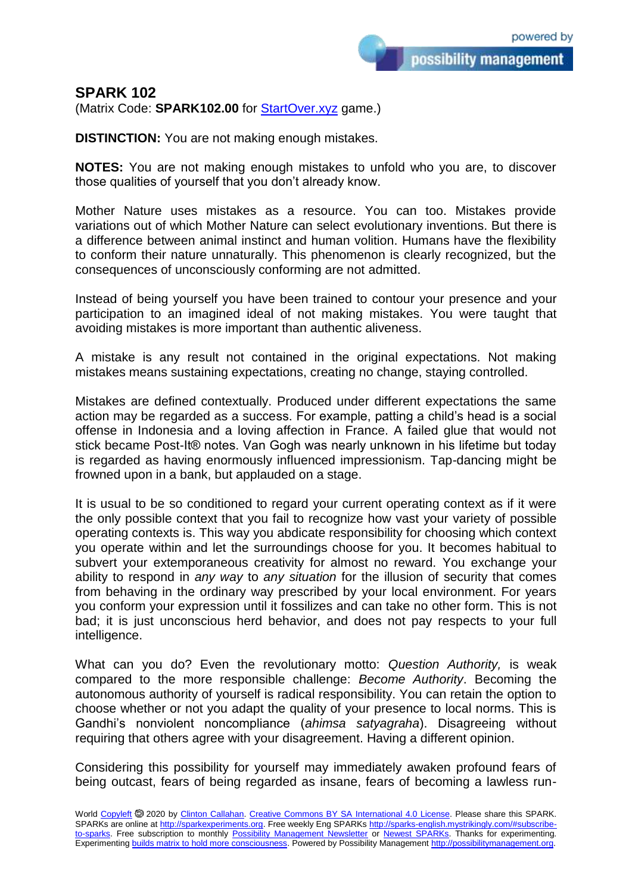possibility management

## **SPARK 102**

(Matrix Code: **SPARK102.00** for **StartOver.xyz** game.)

**DISTINCTION:** You are not making enough mistakes.

**NOTES:** You are not making enough mistakes to unfold who you are, to discover those qualities of yourself that you don't already know.

Mother Nature uses mistakes as a resource. You can too. Mistakes provide variations out of which Mother Nature can select evolutionary inventions. But there is a difference between animal instinct and human volition. Humans have the flexibility to conform their nature unnaturally. This phenomenon is clearly recognized, but the consequences of unconsciously conforming are not admitted.

Instead of being yourself you have been trained to contour your presence and your participation to an imagined ideal of not making mistakes. You were taught that avoiding mistakes is more important than authentic aliveness.

A mistake is any result not contained in the original expectations. Not making mistakes means sustaining expectations, creating no change, staying controlled.

Mistakes are defined contextually. Produced under different expectations the same action may be regarded as a success. For example, patting a child's head is a social offense in Indonesia and a loving affection in France. A failed glue that would not stick became Post-It® notes. Van Gogh was nearly unknown in his lifetime but today is regarded as having enormously influenced impressionism. Tap-dancing might be frowned upon in a bank, but applauded on a stage.

It is usual to be so conditioned to regard your current operating context as if it were the only possible context that you fail to recognize how vast your variety of possible operating contexts is. This way you abdicate responsibility for choosing which context you operate within and let the surroundings choose for you. It becomes habitual to subvert your extemporaneous creativity for almost no reward. You exchange your ability to respond in *any way* to *any situation* for the illusion of security that comes from behaving in the ordinary way prescribed by your local environment. For years you conform your expression until it fossilizes and can take no other form. This is not bad; it is just unconscious herd behavior, and does not pay respects to your full intelligence.

What can you do? Even the revolutionary motto: *Question Authority,* is weak compared to the more responsible challenge: *Become Authority*. Becoming the autonomous authority of yourself is radical responsibility. You can retain the option to choose whether or not you adapt the quality of your presence to local norms. This is Gandhi's nonviolent noncompliance (*ahimsa satyagraha*). Disagreeing without requiring that others agree with your disagreement. Having a different opinion.

Considering this possibility for yourself may immediately awaken profound fears of being outcast, fears of being regarded as insane, fears of becoming a lawless run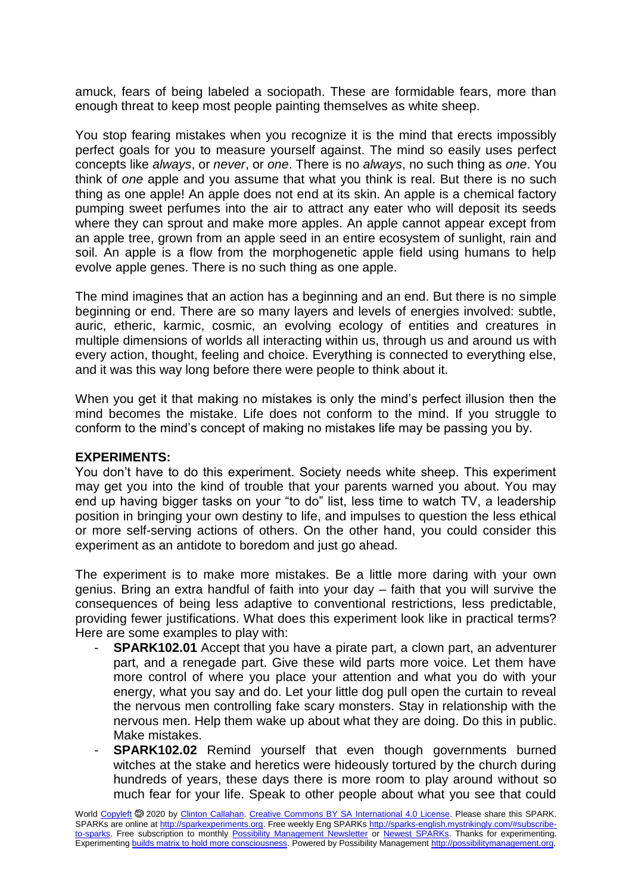amuck, fears of being labeled a sociopath. These are formidable fears, more than enough threat to keep most people painting themselves as white sheep.

You stop fearing mistakes when you recognize it is the mind that erects impossibly perfect goals for you to measure yourself against. The mind so easily uses perfect concepts like *always*, or *never*, or *one*. There is no *always*, no such thing as *one*. You think of *one* apple and you assume that what you think is real. But there is no such thing as one apple! An apple does not end at its skin. An apple is a chemical factory pumping sweet perfumes into the air to attract any eater who will deposit its seeds where they can sprout and make more apples. An apple cannot appear except from an apple tree, grown from an apple seed in an entire ecosystem of sunlight, rain and soil. An apple is a flow from the morphogenetic apple field using humans to help evolve apple genes. There is no such thing as one apple.

The mind imagines that an action has a beginning and an end. But there is no simple beginning or end. There are so many layers and levels of energies involved: subtle, auric, etheric, karmic, cosmic, an evolving ecology of entities and creatures in multiple dimensions of worlds all interacting within us, through us and around us with every action, thought, feeling and choice. Everything is connected to everything else, and it was this way long before there were people to think about it.

When you get it that making no mistakes is only the mind's perfect illusion then the mind becomes the mistake. Life does not conform to the mind. If you struggle to conform to the mind's concept of making no mistakes life may be passing you by.

## **EXPERIMENTS:**

You don't have to do this experiment. Society needs white sheep. This experiment may get you into the kind of trouble that your parents warned you about. You may end up having bigger tasks on your "to do" list, less time to watch TV, a leadership position in bringing your own destiny to life, and impulses to question the less ethical or more self-serving actions of others. On the other hand, you could consider this experiment as an antidote to boredom and just go ahead.

The experiment is to make more mistakes. Be a little more daring with your own genius. Bring an extra handful of faith into your day – faith that you will survive the consequences of being less adaptive to conventional restrictions, less predictable, providing fewer justifications. What does this experiment look like in practical terms? Here are some examples to play with:

- **SPARK102.01** Accept that you have a pirate part, a clown part, an adventurer part, and a renegade part. Give these wild parts more voice. Let them have more control of where you place your attention and what you do with your energy, what you say and do. Let your little dog pull open the curtain to reveal the nervous men controlling fake scary monsters. Stay in relationship with the nervous men. Help them wake up about what they are doing. Do this in public. Make mistakes.
- **SPARK102.02** Remind yourself that even though governments burned witches at the stake and heretics were hideously tortured by the church during hundreds of years, these days there is more room to play around without so much fear for your life. Speak to other people about what you see that could